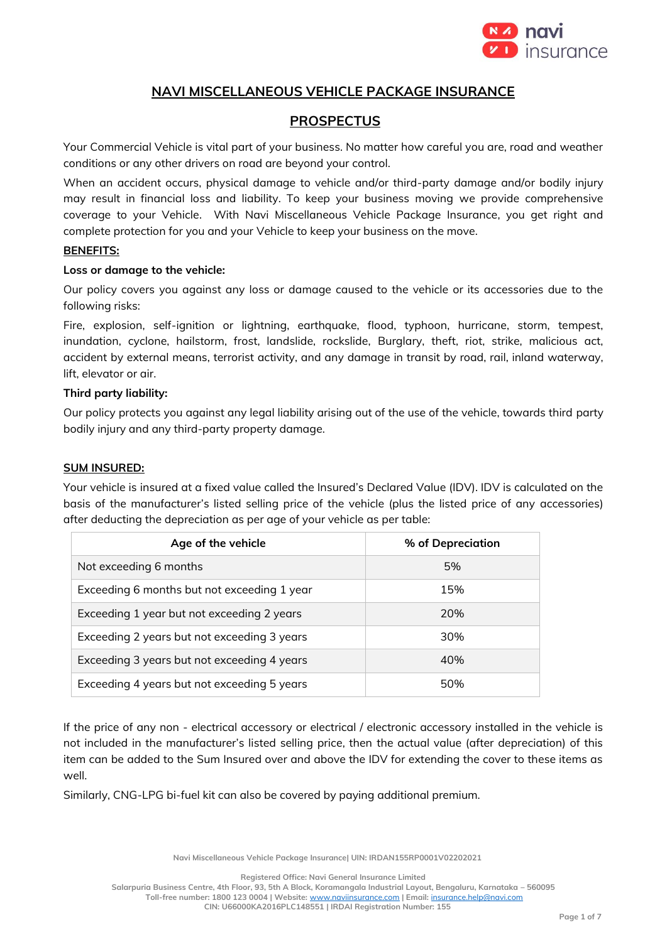

# **NAVI MISCELLANEOUS VEHICLE PACKAGE INSURANCE**

# **PROSPECTUS**

Your Commercial Vehicle is vital part of your business. No matter how careful you are, road and weather conditions or any other drivers on road are beyond your control.

When an accident occurs, physical damage to vehicle and/or third-party damage and/or bodily injury may result in financial loss and liability. To keep your business moving we provide comprehensive coverage to your Vehicle. With Navi Miscellaneous Vehicle Package Insurance, you get right and complete protection for you and your Vehicle to keep your business on the move.

### **BENEFITS:**

### **Loss or damage to the vehicle:**

Our policy covers you against any loss or damage caused to the vehicle or its accessories due to the following risks:

Fire, explosion, self-ignition or lightning, earthquake, flood, typhoon, hurricane, storm, tempest, inundation, cyclone, hailstorm, frost, landslide, rockslide, Burglary, theft, riot, strike, malicious act, accident by external means, terrorist activity, and any damage in transit by road, rail, inland waterway, lift, elevator or air.

### **Third party liability:**

Our policy protects you against any legal liability arising out of the use of the vehicle, towards third party bodily injury and any third-party property damage.

### **SUM INSURED:**

Your vehicle is insured at a fixed value called the Insured's Declared Value (IDV). IDV is calculated on the basis of the manufacturer's listed selling price of the vehicle (plus the listed price of any accessories) after deducting the depreciation as per age of your vehicle as per table:

| Age of the vehicle                          | % of Depreciation |
|---------------------------------------------|-------------------|
| Not exceeding 6 months                      | 5%                |
| Exceeding 6 months but not exceeding 1 year | 15%               |
| Exceeding 1 year but not exceeding 2 years  | 20%               |
| Exceeding 2 years but not exceeding 3 years | 30%               |
| Exceeding 3 years but not exceeding 4 years | 40%               |
| Exceeding 4 years but not exceeding 5 years | 50%               |

If the price of any non - electrical accessory or electrical / electronic accessory installed in the vehicle is not included in the manufacturer's listed selling price, then the actual value (after depreciation) of this item can be added to the Sum Insured over and above the IDV for extending the cover to these items as well.

Similarly, CNG-LPG bi-fuel kit can also be covered by paying additional premium.

**Navi Miscellaneous Vehicle Package Insurance| UIN: IRDAN155RP0001V02202021**

**Registered Office: Navi General Insurance Limited**

**Salarpuria Business Centre, 4th Floor, 93, 5th A Block, Koramangala Industrial Layout, Bengaluru, Karnataka – 560095 Toll-free number: 1800 123 0004 | Website:** [www.naviinsurance.com](http://www.naviinsurance.com/) **| Email:** [insurance.help@navi.com](mailto:insurance.help@navi.com) **CIN: U66000KA2016PLC148551 | IRDAI Registration Number: 155**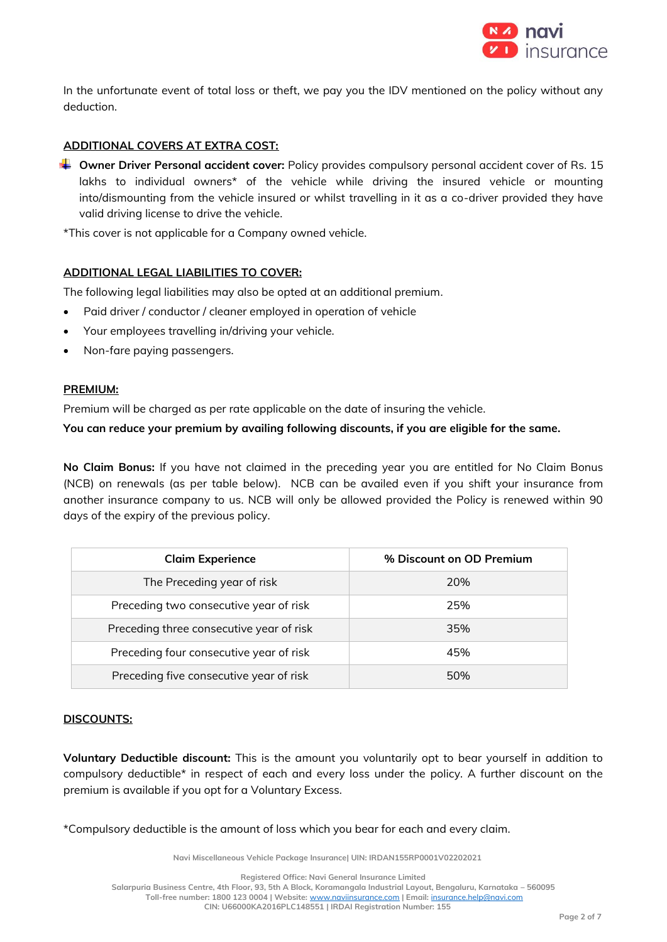

In the unfortunate event of total loss or theft, we pay you the IDV mentioned on the policy without any deduction.

# **ADDITIONAL COVERS AT EXTRA COST:**

**Owner Driver Personal accident cover:** Policy provides compulsory personal accident cover of Rs. 15 lakhs to individual owners\* of the vehicle while driving the insured vehicle or mounting into/dismounting from the vehicle insured or whilst travelling in it as a co-driver provided they have valid driving license to drive the vehicle.

\*This cover is not applicable for a Company owned vehicle.

# **ADDITIONAL LEGAL LIABILITIES TO COVER:**

The following legal liabilities may also be opted at an additional premium.

- Paid driver / conductor / cleaner employed in operation of vehicle
- Your employees travelling in/driving your vehicle.
- Non-fare paying passengers.

### **PREMIUM:**

Premium will be charged as per rate applicable on the date of insuring the vehicle.

**You can reduce your premium by availing following discounts, if you are eligible for the same.**

**No Claim Bonus:** If you have not claimed in the preceding year you are entitled for No Claim Bonus (NCB) on renewals (as per table below). NCB can be availed even if you shift your insurance from another insurance company to us. NCB will only be allowed provided the Policy is renewed within 90 days of the expiry of the previous policy.

| <b>Claim Experience</b>                  | % Discount on OD Premium |
|------------------------------------------|--------------------------|
| The Preceding year of risk               | 20%                      |
| Preceding two consecutive year of risk   | 25%                      |
| Preceding three consecutive year of risk | 35%                      |
| Preceding four consecutive year of risk  | 45%                      |
| Preceding five consecutive year of risk  | 50%                      |

### **DISCOUNTS:**

**Voluntary Deductible discount:** This is the amount you voluntarily opt to bear yourself in addition to compulsory deductible\* in respect of each and every loss under the policy. A further discount on the premium is available if you opt for a Voluntary Excess.

\*Compulsory deductible is the amount of loss which you bear for each and every claim.

**Navi Miscellaneous Vehicle Package Insurance| UIN: IRDAN155RP0001V02202021**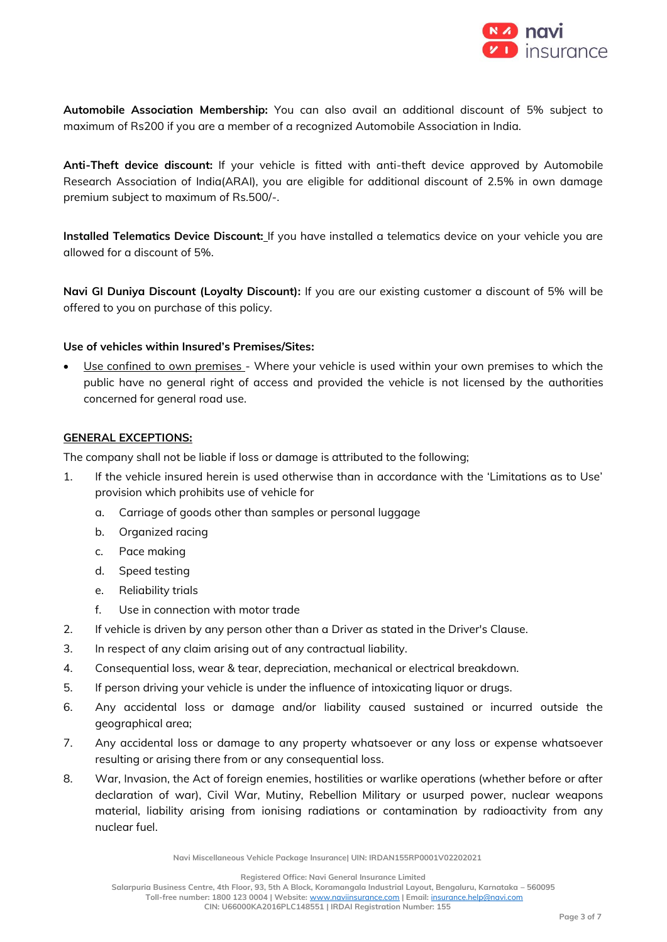

**Automobile Association Membership:** You can also avail an additional discount of 5% subject to maximum of Rs200 if you are a member of a recognized Automobile Association in India.

**Anti-Theft device discount:** If your vehicle is fitted with anti-theft device approved by Automobile Research Association of India(ARAI), you are eligible for additional discount of 2.5% in own damage premium subject to maximum of Rs.500/-.

**Installed Telematics Device Discount:** If you have installed a telematics device on your vehicle you are allowed for a discount of 5%.

**Navi GI Duniya Discount (Loyalty Discount):** If you are our existing customer a discount of 5% will be offered to you on purchase of this policy.

### **Use of vehicles within Insured's Premises/Sites:**

• Use confined to own premises - Where your vehicle is used within your own premises to which the public have no general right of access and provided the vehicle is not licensed by the authorities concerned for general road use.

### **GENERAL EXCEPTIONS:**

The company shall not be liable if loss or damage is attributed to the following;

- 1. If the vehicle insured herein is used otherwise than in accordance with the 'Limitations as to Use' provision which prohibits use of vehicle for
	- a. Carriage of goods other than samples or personal luggage
	- b. Organized racing
	- c. Pace making
	- d. Speed testing
	- e. Reliability trials
	- f. Use in connection with motor trade
- 2. If vehicle is driven by any person other than a Driver as stated in the Driver's Clause.
- 3. In respect of any claim arising out of any contractual liability.
- 4. Consequential loss, wear & tear, depreciation, mechanical or electrical breakdown.
- 5. If person driving your vehicle is under the influence of intoxicating liquor or drugs.
- 6. Any accidental loss or damage and/or liability caused sustained or incurred outside the geographical area;
- 7. Any accidental loss or damage to any property whatsoever or any loss or expense whatsoever resulting or arising there from or any consequential loss.
- 8. War, Invasion, the Act of foreign enemies, hostilities or warlike operations (whether before or after declaration of war), Civil War, Mutiny, Rebellion Military or usurped power, nuclear weapons material, liability arising from ionising radiations or contamination by radioactivity from any nuclear fuel.

**Navi Miscellaneous Vehicle Package Insurance| UIN: IRDAN155RP0001V02202021**

**Registered Office: Navi General Insurance Limited**

**Salarpuria Business Centre, 4th Floor, 93, 5th A Block, Koramangala Industrial Layout, Bengaluru, Karnataka – 560095**

**Toll-free number: 1800 123 0004 | Website:** [www.naviinsurance.com](http://www.naviinsurance.com/) **| Email:** [insurance.help@navi.com](mailto:insurance.help@navi.com)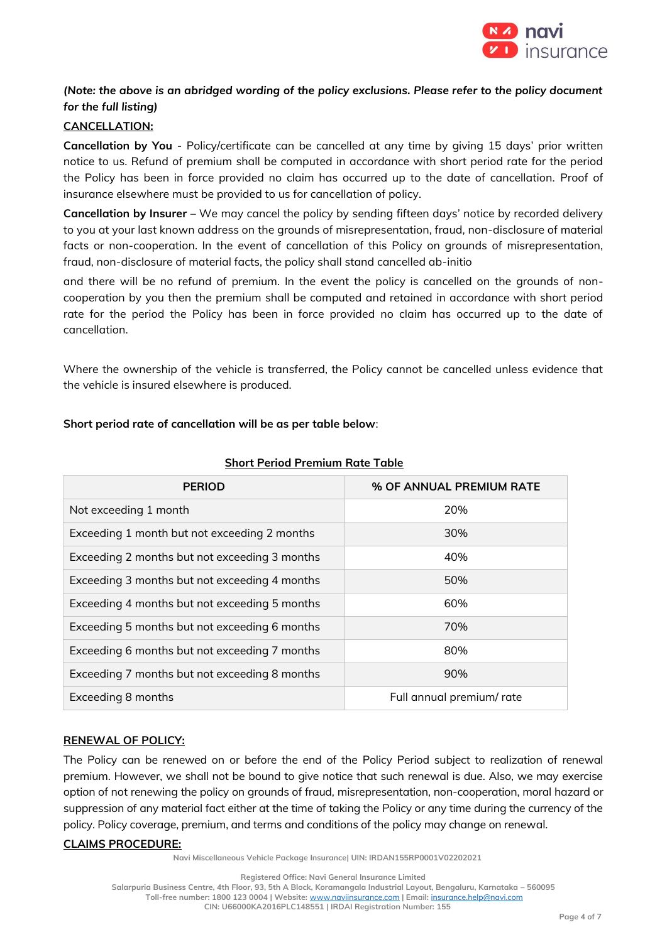

# *(Note: the above is an abridged wording of the policy exclusions. Please refer to the policy document for the full listing)*

# **CANCELLATION:**

**Cancellation by You** - Policy/certificate can be cancelled at any time by giving 15 days' prior written notice to us. Refund of premium shall be computed in accordance with short period rate for the period the Policy has been in force provided no claim has occurred up to the date of cancellation. Proof of insurance elsewhere must be provided to us for cancellation of policy.

**Cancellation by Insurer** – We may cancel the policy by sending fifteen days' notice by recorded delivery to you at your last known address on the grounds of misrepresentation, fraud, non-disclosure of material facts or non-cooperation. In the event of cancellation of this Policy on grounds of misrepresentation, fraud, non-disclosure of material facts, the policy shall stand cancelled ab-initio

and there will be no refund of premium. In the event the policy is cancelled on the grounds of noncooperation by you then the premium shall be computed and retained in accordance with short period rate for the period the Policy has been in force provided no claim has occurred up to the date of cancellation.

Where the ownership of the vehicle is transferred, the Policy cannot be cancelled unless evidence that the vehicle is insured elsewhere is produced.

|  |  | Short period rate of cancellation will be as per table below: |
|--|--|---------------------------------------------------------------|
|--|--|---------------------------------------------------------------|

| <b>PERIOD</b>                                 | % OF ANNUAL PREMIUM RATE |
|-----------------------------------------------|--------------------------|
| Not exceeding 1 month                         | 20%                      |
| Exceeding 1 month but not exceeding 2 months  | 30%                      |
| Exceeding 2 months but not exceeding 3 months | 40%                      |
| Exceeding 3 months but not exceeding 4 months | 50%                      |
| Exceeding 4 months but not exceeding 5 months | 60%                      |
| Exceeding 5 months but not exceeding 6 months | 70%                      |
| Exceeding 6 months but not exceeding 7 months | 80%                      |
| Exceeding 7 months but not exceeding 8 months | 90%                      |
| Exceeding 8 months                            | Full annual premium/rate |

### **Short Period Premium Rate Table**

### **RENEWAL OF POLICY:**

The Policy can be renewed on or before the end of the Policy Period subject to realization of renewal premium. However, we shall not be bound to give notice that such renewal is due. Also, we may exercise option of not renewing the policy on grounds of fraud, misrepresentation, non-cooperation, moral hazard or suppression of any material fact either at the time of taking the Policy or any time during the currency of the policy. Policy coverage, premium, and terms and conditions of the policy may change on renewal.

### **CLAIMS PROCEDURE:**

**Navi Miscellaneous Vehicle Package Insurance| UIN: IRDAN155RP0001V02202021**

**Salarpuria Business Centre, 4th Floor, 93, 5th A Block, Koramangala Industrial Layout, Bengaluru, Karnataka – 560095 Toll-free number: 1800 123 0004 | Website:** [www.naviinsurance.com](http://www.naviinsurance.com/) **| Email:** [insurance.help@navi.com](mailto:insurance.help@navi.com) **CIN: U66000KA2016PLC148551 | IRDAI Registration Number: 155**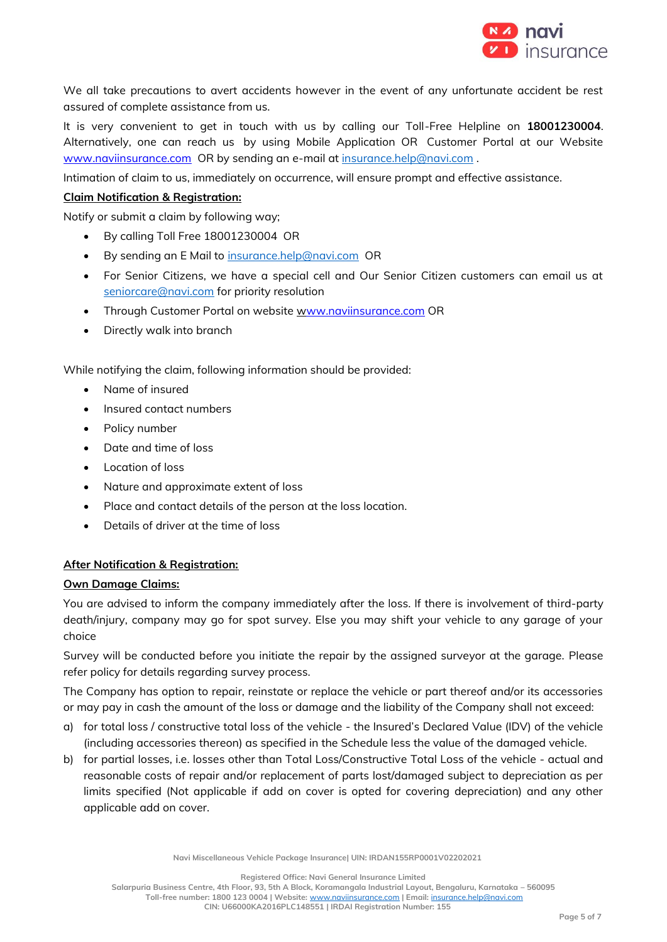

We all take precautions to avert accidents however in the event of any unfortunate accident be rest assured of complete assistance from us.

It is very convenient to get in touch with us by calling our Toll-Free Helpline on **18001230004**. Alternatively, one can reach us by using Mobile Application OR Customer Portal at our Website [www.naviinsurance.com](http://www.naviinsurance.com/) OR by sending an e-mail at [insurance.help@navi.com](mailto:insurance.help@navi.com).

Intimation of claim to us, immediately on occurrence, will ensure prompt and effective assistance.

## **Claim Notification & Registration:**

Notify or submit a claim by following way;

- By calling Toll Free 18001230004 OR
- By sending an E Mail to [insurance.help@navi.com](mailto:insurance.help@navi.com) OR
- For Senior Citizens, we have a special cell and Our Senior Citizen customers can email us at [seniorcare@navi.com](mailto:seniorcare@navi.com) for priority resolution
- Through Customer Portal on website [www.naviinsurance.com](http://www.naviinsurance.com/) OR
- Directly walk into branch

While notifying the claim, following information should be provided:

- Name of insured
- Insured contact numbers
- Policy number
- Date and time of loss
- Location of loss
- Nature and approximate extent of loss
- Place and contact details of the person at the loss location.
- Details of driver at the time of loss

### **After Notification & Registration:**

### **Own Damage Claims:**

You are advised to inform the company immediately after the loss. If there is involvement of third-party death/injury, company may go for spot survey. Else you may shift your vehicle to any garage of your choice

Survey will be conducted before you initiate the repair by the assigned surveyor at the garage. Please refer policy for details regarding survey process.

The Company has option to repair, reinstate or replace the vehicle or part thereof and/or its accessories or may pay in cash the amount of the loss or damage and the liability of the Company shall not exceed:

- a) for total loss / constructive total loss of the vehicle the Insured's Declared Value (IDV) of the vehicle (including accessories thereon) as specified in the Schedule less the value of the damaged vehicle.
- b) for partial losses, i.e. losses other than Total Loss/Constructive Total Loss of the vehicle actual and reasonable costs of repair and/or replacement of parts lost/damaged subject to depreciation as per limits specified (Not applicable if add on cover is opted for covering depreciation) and any other applicable add on cover.

**Registered Office: Navi General Insurance Limited**

**Salarpuria Business Centre, 4th Floor, 93, 5th A Block, Koramangala Industrial Layout, Bengaluru, Karnataka – 560095 Toll-free number: 1800 123 0004 | Website:** [www.naviinsurance.com](http://www.naviinsurance.com/) **| Email:** [insurance.help@navi.com](mailto:insurance.help@navi.com)

**CIN: U66000KA2016PLC148551 | IRDAI Registration Number: 155**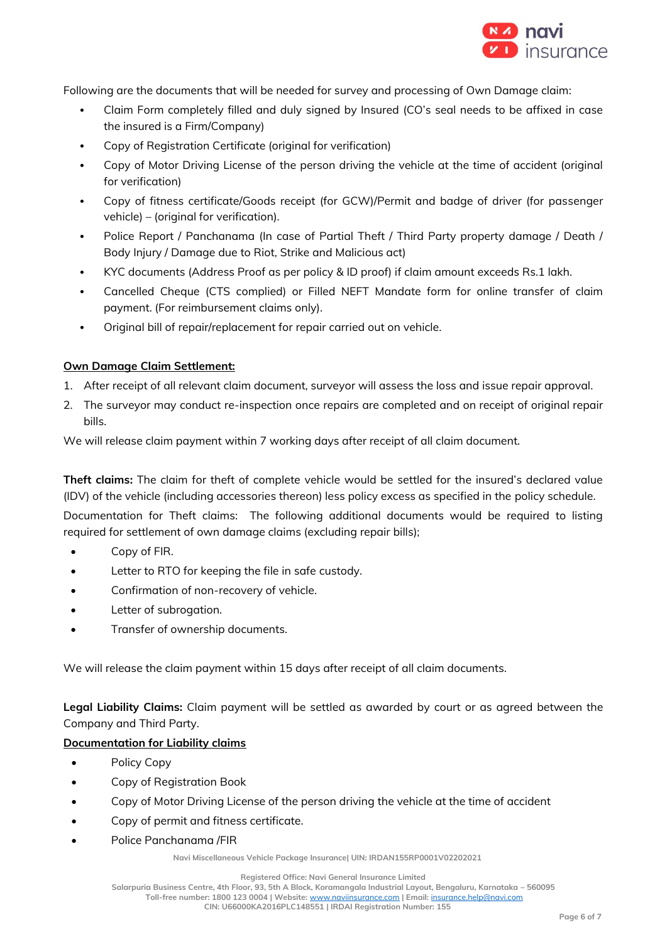

Following are the documents that will be needed for survey and processing of Own Damage claim:

- Claim Form completely filled and duly signed by Insured (CO's seal needs to be affixed in case the insured is a Firm/Company)
- Copy of Registration Certificate (original for verification)
- Copy of Motor Driving License of the person driving the vehicle at the time of accident (original for verification)
- Copy of fitness certificate/Goods receipt (for GCW)/Permit and badge of driver (for passenger vehicle) – (original for verification).
- Police Report / Panchanama (In case of Partial Theft / Third Party property damage / Death / Body Injury / Damage due to Riot, Strike and Malicious act)
- KYC documents (Address Proof as per policy & ID proof) if claim amount exceeds Rs.1 lakh.
- Cancelled Cheque (CTS complied) or Filled NEFT Mandate form for online transfer of claim payment. (For reimbursement claims only).
- Original bill of repair/replacement for repair carried out on vehicle.

# **Own Damage Claim Settlement:**

- 1. After receipt of all relevant claim document, surveyor will assess the loss and issue repair approval.
- 2. The surveyor may conduct re-inspection once repairs are completed and on receipt of original repair bills.

We will release claim payment within 7 working days after receipt of all claim document.

**Theft claims:** The claim for theft of complete vehicle would be settled for the insured's declared value (IDV) of the vehicle (including accessories thereon) less policy excess as specified in the policy schedule.

Documentation for Theft claims: The following additional documents would be required to listing required for settlement of own damage claims (excluding repair bills);

- Copy of FIR.
- Letter to RTO for keeping the file in safe custody.
- Confirmation of non-recovery of vehicle.
- Letter of subrogation.
- Transfer of ownership documents.

We will release the claim payment within 15 days after receipt of all claim documents.

**Legal Liability Claims:** Claim payment will be settled as awarded by court or as agreed between the Company and Third Party.

### **Documentation for Liability claims**

- Policy Copy
- Copy of Registration Book
- Copy of Motor Driving License of the person driving the vehicle at the time of accident
- Copy of permit and fitness certificate.
- Police Panchanama /FIR

**Navi Miscellaneous Vehicle Package Insurance| UIN: IRDAN155RP0001V02202021**

**Registered Office: Navi General Insurance Limited**

**Salarpuria Business Centre, 4th Floor, 93, 5th A Block, Koramangala Industrial Layout, Bengaluru, Karnataka – 560095**

**Toll-free number: 1800 123 0004 | Website:** [www.naviinsurance.com](http://www.naviinsurance.com/) **| Email:** [insurance.help@navi.com](mailto:insurance.help@navi.com)